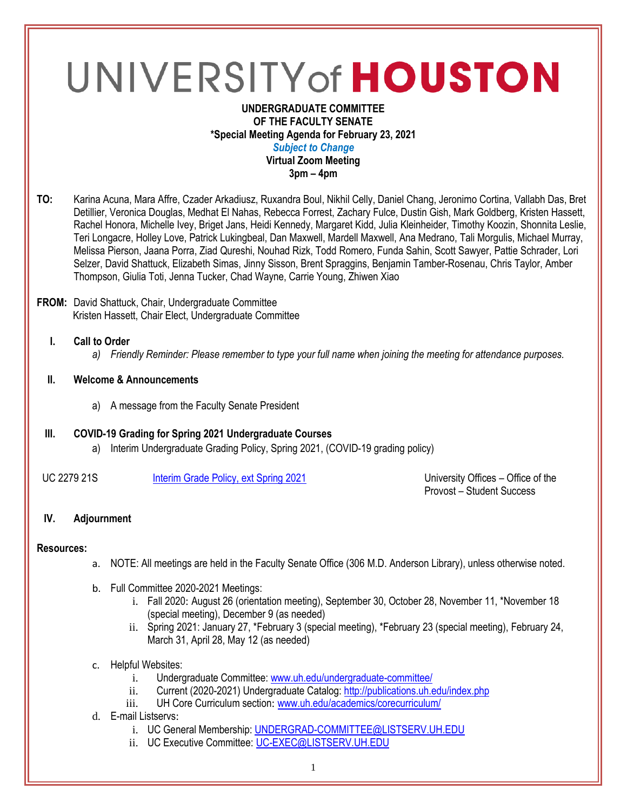# UNIVERSITY of HOUSTON

#### **UNDERGRADUATE COMMITTEE OF THE FACULTY SENATE \*Special Meeting Agenda for February 23, 2021** *Subject to Change* **Virtual Zoom Meeting 3pm – 4pm**

**TO:** Karina Acuna, Mara Affre, Czader Arkadiusz, Ruxandra Boul, Nikhil Celly, Daniel Chang, Jeronimo Cortina, Vallabh Das, Bret Detillier, Veronica Douglas, Medhat El Nahas, Rebecca Forrest, Zachary Fulce, Dustin Gish, Mark Goldberg, Kristen Hassett, Rachel Honora, Michelle Ivey, Briget Jans, Heidi Kennedy, Margaret Kidd, Julia Kleinheider, Timothy Koozin, Shonnita Leslie, Teri Longacre, Holley Love, Patrick Lukingbeal, Dan Maxwell, Mardell Maxwell, Ana Medrano, Tali Morgulis, Michael Murray, Melissa Pierson, Jaana Porra, Ziad Qureshi, Nouhad Rizk, Todd Romero, Funda Sahin, Scott Sawyer, Pattie Schrader, Lori Selzer, David Shattuck, Elizabeth Simas, Jinny Sisson, Brent Spraggins, Benjamin Tamber-Rosenau, Chris Taylor, Amber Thompson, Giulia Toti, Jenna Tucker, Chad Wayne, Carrie Young, Zhiwen Xiao

#### **FROM:** David Shattuck, Chair, Undergraduate Committee Kristen Hassett, Chair Elect, Undergraduate Committee

## **I. Call to Order**

*a) Friendly Reminder: Please remember to type your full name when joining the meeting for attendance purposes.*

#### **II. Welcome & Announcements**

a) A message from the Faculty Senate President

## **III. COVID-19 Grading for Spring 2021 Undergraduate Courses**

a) Interim Undergraduate Grading Policy, Spring 2021, (COVID-19 grading policy)

UC 2279 21S [Interim Grade Policy, ext Spring 2021](https://uofh.sharepoint.com/:li:/s/uc/EyiVOx04VwZPmleO9BuVVBgBo1WKyLs_NeUjVFWEc0QsKQ?e=4Cqe1K) University Offices – Office of the

Provost – Student Success

## **IV. Adjournment**

## **Resources:**

- a. NOTE: All meetings are held in the Faculty Senate Office (306 M.D. Anderson Library), unless otherwise noted.
- b. Full Committee 2020-2021 Meetings:
	- i. Fall 2020: August 26 (orientation meeting), September 30, October 28, November 11, \*November 18 (special meeting), December 9 (as needed)
	- ii. Spring 2021: January 27, \*February 3 (special meeting), \*February 23 (special meeting), February 24, March 31, April 28, May 12 (as needed)
- c. Helpful Websites:
	- i. Undergraduate Committee: [www.uh.edu/undergraduate-committee/](http://www.uh.edu/undergraduate-committee/)
	- ii. Current (2020-2021) Undergraduate Catalog:<http://publications.uh.edu/index.php>
	- iii. UH Core Curriculum section: [www.uh.edu/academics/corecurriculum/](http://www.uh.edu/academics/corecurriculum/)
- d. E-mail Listservs:
	- i. UC General Membership: [UNDERGRAD-COMMITTEE@LISTSERV.UH.EDU](mailto:UNDERGRAD-COMMITTEE@LISTSERV.UH.EDU)
	- ii. UC Executive Committee: [UC-EXEC@LISTSERV.UH.EDU](mailto:UC-EXEC@LISTSERV.UH.EDU)